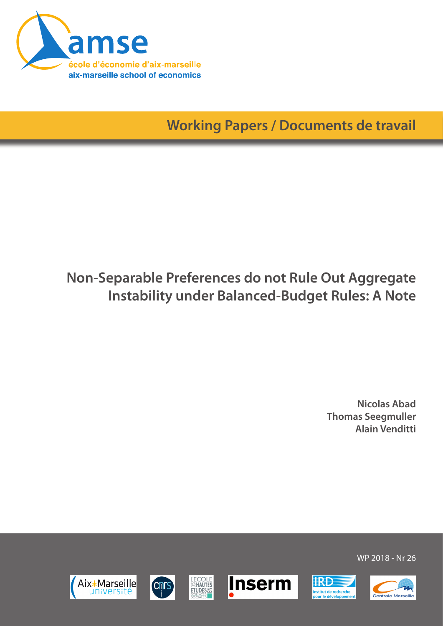

**Working Papers / Documents de travail**

## **Non-Separable Preferences do not Rule Out Aggregate Instability under Balanced-Budget Rules: A Note**

**Nicolas Abad Thomas Seegmuller Alain Venditti**

WP 2018 - Nr 26

**IRD** 

nstitut de recherche<br>vour le développem







**LECOLE**<br>SHAUTES<br>ETUDES

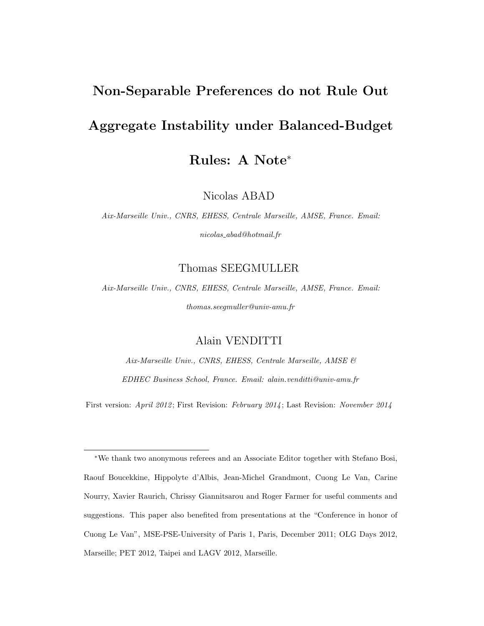# Non-Separable Preferences do not Rule Out Aggregate Instability under Balanced-Budget Rules: A Note<sup>∗</sup>

Nicolas ABAD

Aix-Marseille Univ., CNRS, EHESS, Centrale Marseille, AMSE, France. Email: nicolas abad@hotmail.fr

Thomas SEEGMULLER

Aix-Marseille Univ., CNRS, EHESS, Centrale Marseille, AMSE, France. Email: thomas.seegmuller@univ-amu.fr

Alain VENDITTI

Aix-Marseille Univ., CNRS, EHESS, Centrale Marseille, AMSE & EDHEC Business School, France. Email: alain.venditti@univ-amu.fr

First version: April 2012; First Revision: February 2014; Last Revision: November 2014

<sup>∗</sup>We thank two anonymous referees and an Associate Editor together with Stefano Bosi, Raouf Boucekkine, Hippolyte d'Albis, Jean-Michel Grandmont, Cuong Le Van, Carine Nourry, Xavier Raurich, Chrissy Giannitsarou and Roger Farmer for useful comments and suggestions. This paper also benefited from presentations at the "Conference in honor of Cuong Le Van", MSE-PSE-University of Paris 1, Paris, December 2011; OLG Days 2012, Marseille; PET 2012, Taipei and LAGV 2012, Marseille.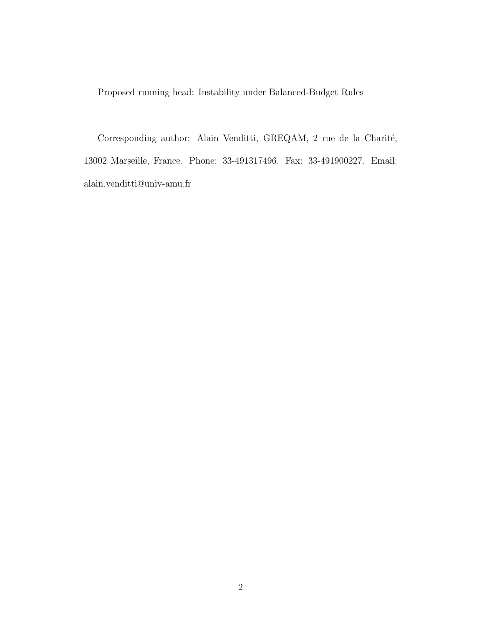Proposed running head: Instability under Balanced-Budget Rules

Corresponding author: Alain Venditti, GREQAM, 2 rue de la Charité, 13002 Marseille, France. Phone: 33-491317496. Fax: 33-491900227. Email: alain.venditti@univ-amu.fr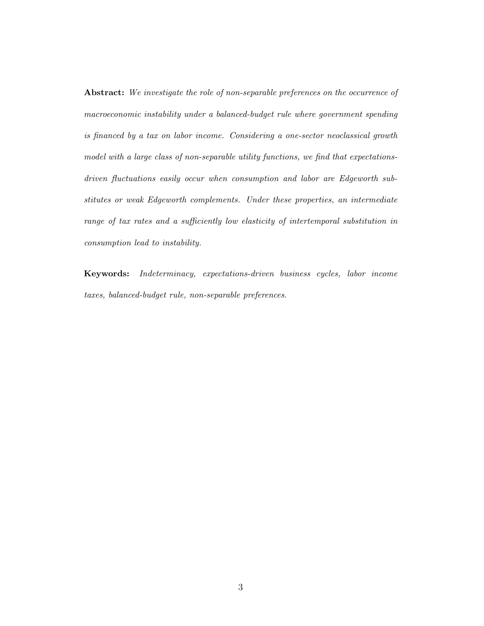Abstract: We investigate the role of non-separable preferences on the occurrence of macroeconomic instability under a balanced-budget rule where government spending is financed by a tax on labor income. Considering a one-sector neoclassical growth model with a large class of non-separable utility functions, we find that expectationsdriven fluctuations easily occur when consumption and labor are Edgeworth substitutes or weak Edgeworth complements. Under these properties, an intermediate range of tax rates and a sufficiently low elasticity of intertemporal substitution in consumption lead to instability.

Keywords: Indeterminacy, expectations-driven business cycles, labor income taxes, balanced-budget rule, non-separable preferences.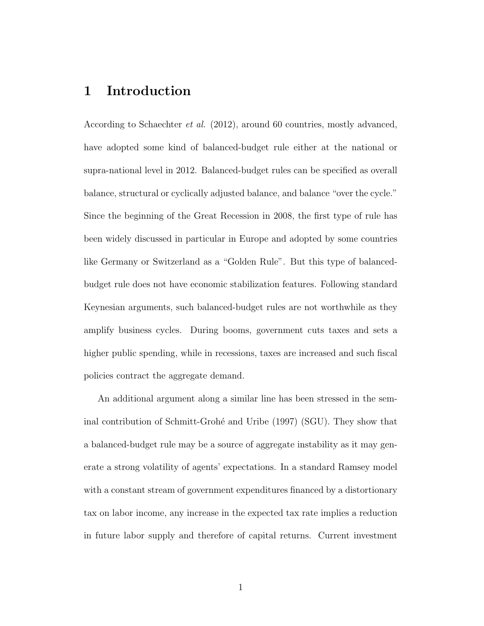## 1 Introduction

According to Schaechter et al. (2012), around 60 countries, mostly advanced, have adopted some kind of balanced-budget rule either at the national or supra-national level in 2012. Balanced-budget rules can be specified as overall balance, structural or cyclically adjusted balance, and balance "over the cycle." Since the beginning of the Great Recession in 2008, the first type of rule has been widely discussed in particular in Europe and adopted by some countries like Germany or Switzerland as a "Golden Rule". But this type of balancedbudget rule does not have economic stabilization features. Following standard Keynesian arguments, such balanced-budget rules are not worthwhile as they amplify business cycles. During booms, government cuts taxes and sets a higher public spending, while in recessions, taxes are increased and such fiscal policies contract the aggregate demand.

An additional argument along a similar line has been stressed in the seminal contribution of Schmitt-Grohé and Uribe (1997) (SGU). They show that a balanced-budget rule may be a source of aggregate instability as it may generate a strong volatility of agents' expectations. In a standard Ramsey model with a constant stream of government expenditures financed by a distortionary tax on labor income, any increase in the expected tax rate implies a reduction in future labor supply and therefore of capital returns. Current investment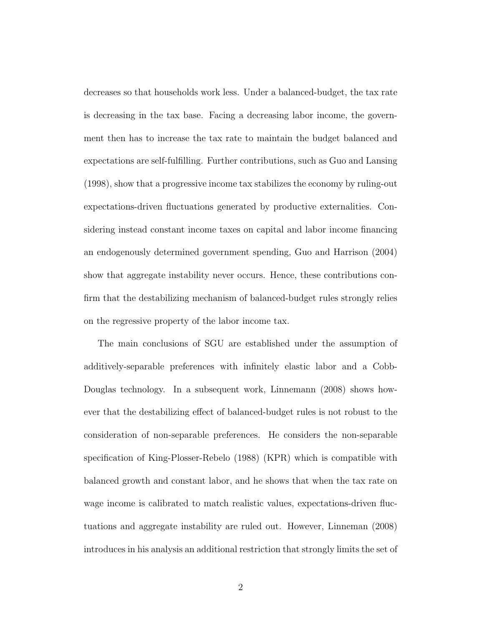decreases so that households work less. Under a balanced-budget, the tax rate is decreasing in the tax base. Facing a decreasing labor income, the government then has to increase the tax rate to maintain the budget balanced and expectations are self-fulfilling. Further contributions, such as Guo and Lansing (1998), show that a progressive income tax stabilizes the economy by ruling-out expectations-driven fluctuations generated by productive externalities. Considering instead constant income taxes on capital and labor income financing an endogenously determined government spending, Guo and Harrison (2004) show that aggregate instability never occurs. Hence, these contributions confirm that the destabilizing mechanism of balanced-budget rules strongly relies on the regressive property of the labor income tax.

The main conclusions of SGU are established under the assumption of additively-separable preferences with infinitely elastic labor and a Cobb-Douglas technology. In a subsequent work, Linnemann (2008) shows however that the destabilizing effect of balanced-budget rules is not robust to the consideration of non-separable preferences. He considers the non-separable specification of King-Plosser-Rebelo (1988) (KPR) which is compatible with balanced growth and constant labor, and he shows that when the tax rate on wage income is calibrated to match realistic values, expectations-driven fluctuations and aggregate instability are ruled out. However, Linneman (2008) introduces in his analysis an additional restriction that strongly limits the set of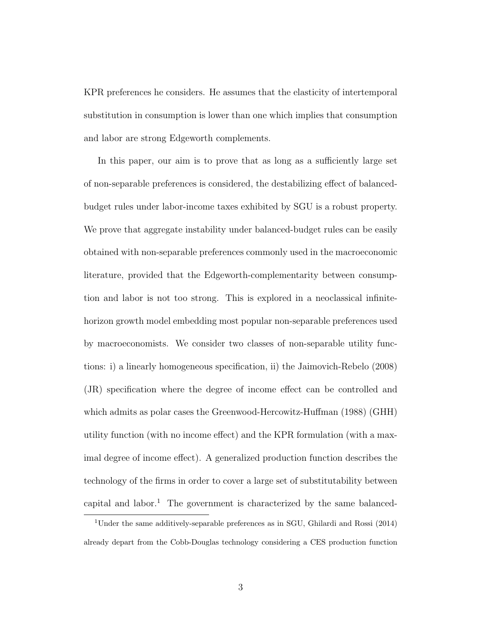KPR preferences he considers. He assumes that the elasticity of intertemporal substitution in consumption is lower than one which implies that consumption and labor are strong Edgeworth complements.

In this paper, our aim is to prove that as long as a sufficiently large set of non-separable preferences is considered, the destabilizing effect of balancedbudget rules under labor-income taxes exhibited by SGU is a robust property. We prove that aggregate instability under balanced-budget rules can be easily obtained with non-separable preferences commonly used in the macroeconomic literature, provided that the Edgeworth-complementarity between consumption and labor is not too strong. This is explored in a neoclassical infinitehorizon growth model embedding most popular non-separable preferences used by macroeconomists. We consider two classes of non-separable utility functions: i) a linearly homogeneous specification, ii) the Jaimovich-Rebelo (2008) (JR) specification where the degree of income effect can be controlled and which admits as polar cases the Greenwood-Hercowitz-Huffman (1988) (GHH) utility function (with no income effect) and the KPR formulation (with a maximal degree of income effect). A generalized production function describes the technology of the firms in order to cover a large set of substitutability between capital and labor.<sup>1</sup> The government is characterized by the same balanced-

<sup>1</sup>Under the same additively-separable preferences as in SGU, Ghilardi and Rossi (2014) already depart from the Cobb-Douglas technology considering a CES production function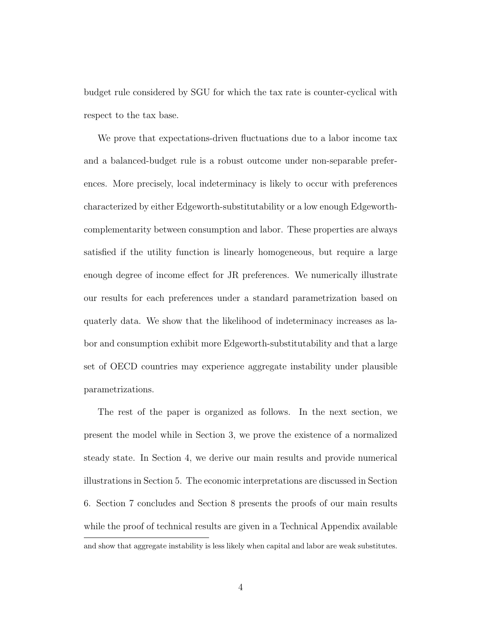budget rule considered by SGU for which the tax rate is counter-cyclical with respect to the tax base.

We prove that expectations-driven fluctuations due to a labor income tax and a balanced-budget rule is a robust outcome under non-separable preferences. More precisely, local indeterminacy is likely to occur with preferences characterized by either Edgeworth-substitutability or a low enough Edgeworthcomplementarity between consumption and labor. These properties are always satisfied if the utility function is linearly homogeneous, but require a large enough degree of income effect for JR preferences. We numerically illustrate our results for each preferences under a standard parametrization based on quaterly data. We show that the likelihood of indeterminacy increases as labor and consumption exhibit more Edgeworth-substitutability and that a large set of OECD countries may experience aggregate instability under plausible parametrizations.

The rest of the paper is organized as follows. In the next section, we present the model while in Section 3, we prove the existence of a normalized steady state. In Section 4, we derive our main results and provide numerical illustrations in Section 5. The economic interpretations are discussed in Section 6. Section 7 concludes and Section 8 presents the proofs of our main results while the proof of technical results are given in a Technical Appendix available and show that aggregate instability is less likely when capital and labor are weak substitutes.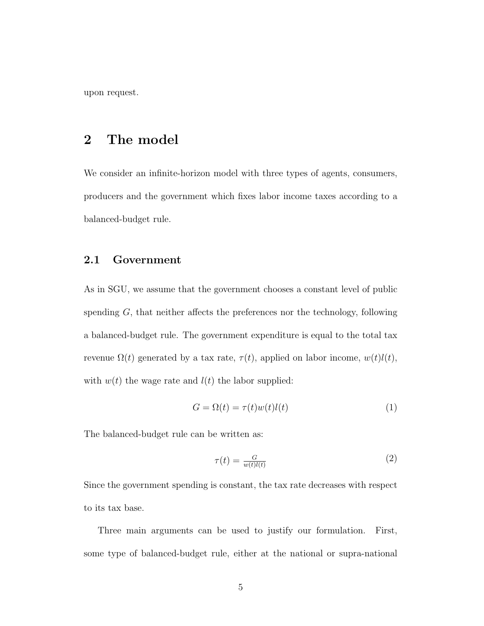upon request.

## 2 The model

We consider an infinite-horizon model with three types of agents, consumers, producers and the government which fixes labor income taxes according to a balanced-budget rule.

#### 2.1 Government

As in SGU, we assume that the government chooses a constant level of public spending  $G$ , that neither affects the preferences nor the technology, following a balanced-budget rule. The government expenditure is equal to the total tax revenue  $\Omega(t)$  generated by a tax rate,  $\tau(t)$ , applied on labor income,  $w(t)l(t)$ , with  $w(t)$  the wage rate and  $l(t)$  the labor supplied:

$$
G = \Omega(t) = \tau(t)w(t)l(t)
$$
\n(1)

The balanced-budget rule can be written as:

$$
\tau(t) = \frac{G}{w(t)l(t)}\tag{2}
$$

Since the government spending is constant, the tax rate decreases with respect to its tax base.

Three main arguments can be used to justify our formulation. First, some type of balanced-budget rule, either at the national or supra-national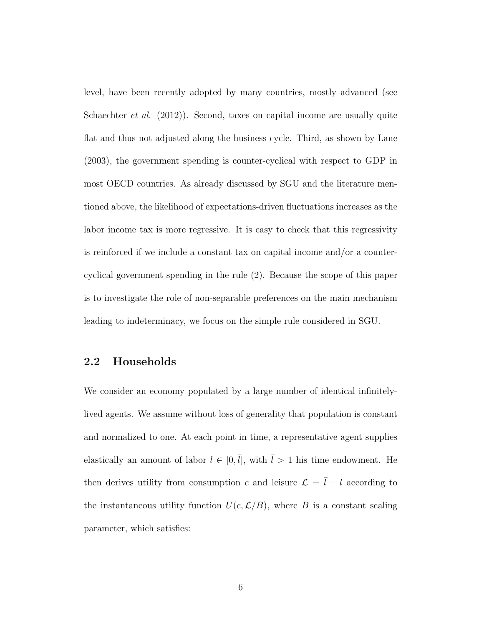level, have been recently adopted by many countries, mostly advanced (see Schaechter *et al.* (2012)). Second, taxes on capital income are usually quite flat and thus not adjusted along the business cycle. Third, as shown by Lane (2003), the government spending is counter-cyclical with respect to GDP in most OECD countries. As already discussed by SGU and the literature mentioned above, the likelihood of expectations-driven fluctuations increases as the labor income tax is more regressive. It is easy to check that this regressivity is reinforced if we include a constant tax on capital income and/or a countercyclical government spending in the rule (2). Because the scope of this paper is to investigate the role of non-separable preferences on the main mechanism leading to indeterminacy, we focus on the simple rule considered in SGU.

#### 2.2 Households

We consider an economy populated by a large number of identical infinitelylived agents. We assume without loss of generality that population is constant and normalized to one. At each point in time, a representative agent supplies elastically an amount of labor  $l \in [0, \bar{l}]$ , with  $\bar{l} > 1$  his time endowment. He then derives utility from consumption c and leisure  $\mathcal{L} = \bar{l} - l$  according to the instantaneous utility function  $U(c, \mathcal{L}/B)$ , where B is a constant scaling parameter, which satisfies: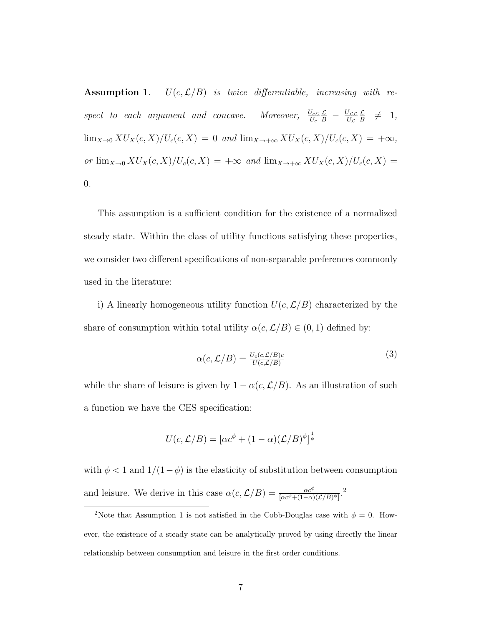**Assumption 1.**  $U(c, \mathcal{L}/B)$  is twice differentiable, increasing with respect to each argument and concave. Moreover,  $\frac{U_{c\mathcal{L}}}{U_{c}}$  $\frac{\mathcal{L}}{B} - \frac{U_{\mathcal{L}\mathcal{L}}}{U_{\mathcal{L}}}$  $U_{\mathcal{L}}$  $\mathcal{L}$  $\frac{\mathcal{L}}{B}$   $\neq$  1,  $\lim_{X\to 0} XU_X(c, X)/U_c(c, X) = 0$  and  $\lim_{X\to +\infty} XU_X(c, X)/U_c(c, X) = +\infty$ , or  $\lim_{X\to 0} XU_X(c, X)/U_c(c, X) = +\infty$  and  $\lim_{X\to +\infty} XU_X(c, X)/U_c(c, X) =$ 0.

This assumption is a sufficient condition for the existence of a normalized steady state. Within the class of utility functions satisfying these properties, we consider two different specifications of non-separable preferences commonly used in the literature:

i) A linearly homogeneous utility function  $U(c, \mathcal{L}/B)$  characterized by the share of consumption within total utility  $\alpha(c,\mathcal{L}/B) \in (0,1)$  defined by:

$$
\alpha(c, \mathcal{L}/B) = \frac{U_c(c, \mathcal{L}/B)c}{U(c, \mathcal{L}/B)}
$$
(3)

while the share of leisure is given by  $1 - \alpha(c, \mathcal{L}/B)$ . As an illustration of such a function we have the CES specification:

$$
U(c, \mathcal{L}/B) = [\alpha c^{\phi} + (1 - \alpha)(\mathcal{L}/B)^{\phi}]^{\frac{1}{\phi}}
$$

with  $\phi < 1$  and  $1/(1-\phi)$  is the elasticity of substitution between consumption and leisure. We derive in this case  $\alpha(c,\mathcal{L}/B) = \frac{\alpha c^{\phi}}{[\alpha c^{\phi} + (1-\alpha)(\mathcal{L}/B)^{\phi}]}$ .

<sup>&</sup>lt;sup>2</sup>Note that Assumption 1 is not satisfied in the Cobb-Douglas case with  $\phi = 0$ . However, the existence of a steady state can be analytically proved by using directly the linear relationship between consumption and leisure in the first order conditions.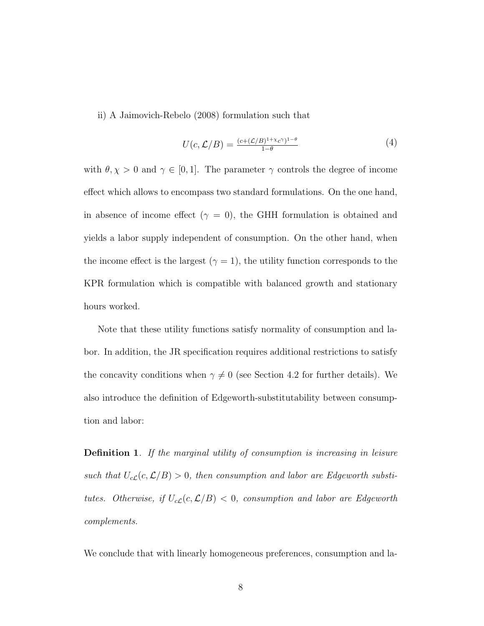ii) A Jaimovich-Rebelo (2008) formulation such that

$$
U(c, \mathcal{L}/B) = \frac{(c + (\mathcal{L}/B)^{1+\chi} c^{\gamma})^{1-\theta}}{1-\theta} \tag{4}
$$

with  $\theta, \chi > 0$  and  $\gamma \in [0, 1]$ . The parameter  $\gamma$  controls the degree of income effect which allows to encompass two standard formulations. On the one hand, in absence of income effect ( $\gamma = 0$ ), the GHH formulation is obtained and yields a labor supply independent of consumption. On the other hand, when the income effect is the largest ( $\gamma = 1$ ), the utility function corresponds to the KPR formulation which is compatible with balanced growth and stationary hours worked.

Note that these utility functions satisfy normality of consumption and labor. In addition, the JR specification requires additional restrictions to satisfy the concavity conditions when  $\gamma \neq 0$  (see Section 4.2 for further details). We also introduce the definition of Edgeworth-substitutability between consumption and labor:

Definition 1. If the marginal utility of consumption is increasing in leisure such that  $U_{c\mathcal{L}}(c,\mathcal{L}/B) > 0$ , then consumption and labor are Edgeworth substitutes. Otherwise, if  $U_{c\mathcal{L}}(c,\mathcal{L}/B) < 0$ , consumption and labor are Edgeworth complements.

We conclude that with linearly homogeneous preferences, consumption and la-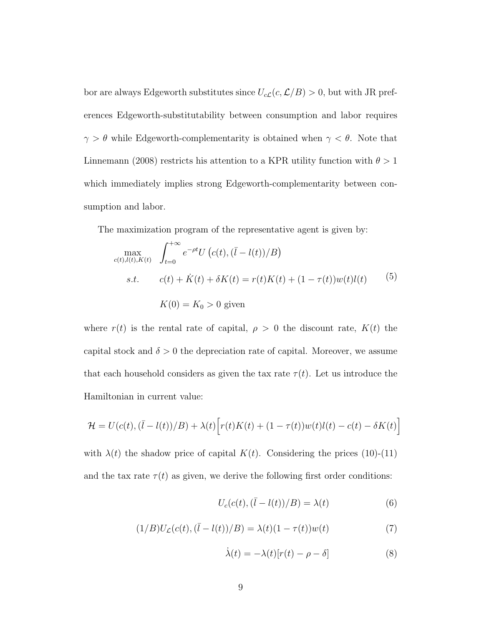bor are always Edgeworth substitutes since  $U_{c\mathcal{L}}(c,\mathcal{L}/B) > 0$ , but with JR preferences Edgeworth-substitutability between consumption and labor requires  $\gamma > \theta$  while Edgeworth-complementarity is obtained when  $\gamma < \theta$ . Note that Linnemann (2008) restricts his attention to a KPR utility function with  $\theta > 1$ which immediately implies strong Edgeworth-complementarity between consumption and labor.

The maximization program of the representative agent is given by:

$$
\max_{c(t),l(t),K(t)} \int_{t=0}^{+\infty} e^{-\rho t} U(c(t), (\bar{l} - l(t))/B)
$$
  
s.t.  $c(t) + \dot{K}(t) + \delta K(t) = r(t)K(t) + (1 - \tau(t))w(t)l(t)$  (5)  
 $K(0) = K_0 > 0$  given

where  $r(t)$  is the rental rate of capital,  $\rho > 0$  the discount rate,  $K(t)$  the capital stock and  $\delta > 0$  the depreciation rate of capital. Moreover, we assume that each household considers as given the tax rate  $\tau(t)$ . Let us introduce the Hamiltonian in current value:

$$
\mathcal{H} = U(c(t), (\bar{l} - l(t))/B) + \lambda(t) \Big[ r(t)K(t) + (1 - \tau(t))w(t)l(t) - c(t) - \delta K(t) \Big]
$$

with  $\lambda(t)$  the shadow price of capital  $K(t)$ . Considering the prices (10)-(11) and the tax rate  $\tau(t)$  as given, we derive the following first order conditions:

$$
U_c(c(t), (\bar{l} - l(t))/B) = \lambda(t)
$$
\n(6)

$$
(1/B)U_{\mathcal{L}}(c(t),(\bar{l}-l(t))/B) = \lambda(t)(1-\tau(t))w(t)
$$
\n
$$
(7)
$$

$$
\dot{\lambda}(t) = -\lambda(t)[r(t) - \rho - \delta] \tag{8}
$$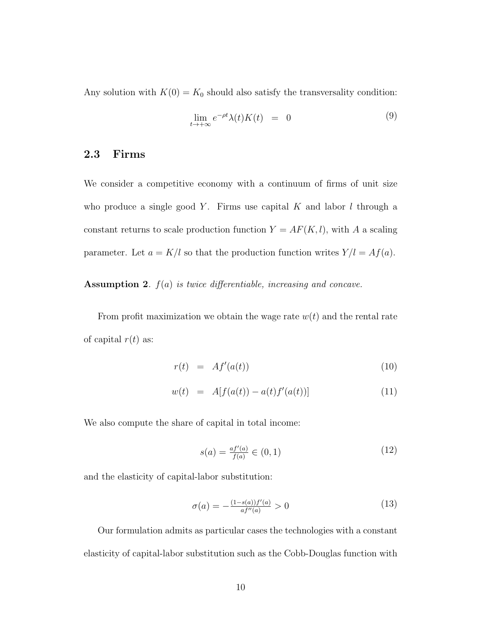Any solution with  $K(0) = K_0$  should also satisfy the transversality condition:

$$
\lim_{t \to +\infty} e^{-\rho t} \lambda(t) K(t) = 0 \tag{9}
$$

#### 2.3 Firms

We consider a competitive economy with a continuum of firms of unit size who produce a single good Y. Firms use capital  $K$  and labor  $l$  through a constant returns to scale production function  $Y = AF(K, l)$ , with A a scaling parameter. Let  $a = K/l$  so that the production function writes  $Y/l = Af(a)$ .

**Assumption 2.**  $f(a)$  is twice differentiable, increasing and concave.

From profit maximization we obtain the wage rate  $w(t)$  and the rental rate of capital  $r(t)$  as:

$$
r(t) = Af'(a(t)) \tag{10}
$$

$$
w(t) = A[f(a(t)) - a(t)f'(a(t))]
$$
\n(11)

We also compute the share of capital in total income:

$$
s(a) = \frac{af'(a)}{f(a)} \in (0, 1) \tag{12}
$$

and the elasticity of capital-labor substitution:

$$
\sigma(a) = -\frac{(1 - s(a))f'(a)}{af''(a)} > 0
$$
\n(13)

Our formulation admits as particular cases the technologies with a constant elasticity of capital-labor substitution such as the Cobb-Douglas function with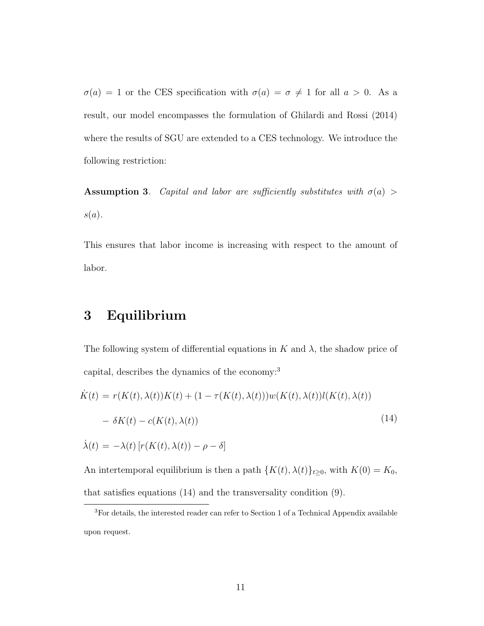$\sigma(a) = 1$  or the CES specification with  $\sigma(a) = \sigma \neq 1$  for all  $a > 0$ . As a result, our model encompasses the formulation of Ghilardi and Rossi (2014) where the results of SGU are extended to a CES technology. We introduce the following restriction:

**Assumption 3.** Capital and labor are sufficiently substitutes with  $\sigma(a)$  $s(a).$ 

This ensures that labor income is increasing with respect to the amount of labor.

## 3 Equilibrium

The following system of differential equations in  $K$  and  $\lambda$ , the shadow price of capital, describes the dynamics of the economy:<sup>3</sup>

$$
\dot{K}(t) = r(K(t), \lambda(t))K(t) + (1 - \tau(K(t), \lambda(t)))w(K(t), \lambda(t))l(K(t), \lambda(t))
$$

$$
- \delta K(t) - c(K(t), \lambda(t))
$$

$$
\dot{\lambda}(t) = -\lambda(t) \left[ r(K(t), \lambda(t)) - \rho - \delta \right]
$$
\n(14)

An intertemporal equilibrium is then a path  $\{K(t), \lambda(t)\}_{t\geq 0}$ , with  $K(0) = K_0$ , that satisfies equations (14) and the transversality condition (9).

<sup>3</sup>For details, the interested reader can refer to Section 1 of a Technical Appendix available upon request.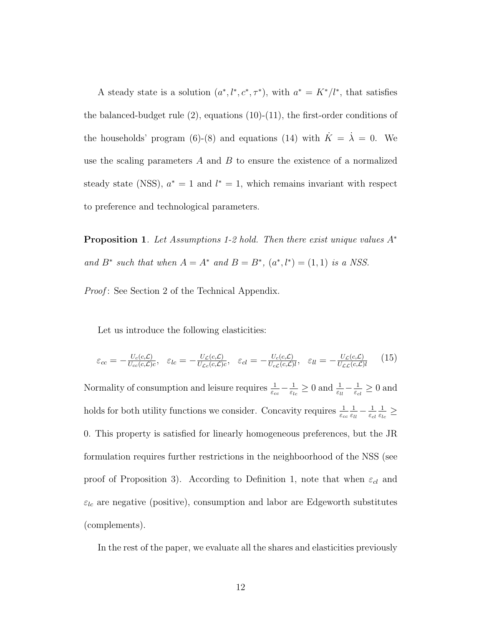A steady state is a solution  $(a^*, l^*, c^*, \tau^*)$ , with  $a^* = K^*/l^*$ , that satisfies the balanced-budget rule  $(2)$ , equations  $(10)-(11)$ , the first-order conditions of the households' program (6)-(8) and equations (14) with  $\dot{K} = \dot{\lambda} = 0$ . We use the scaling parameters  $A$  and  $B$  to ensure the existence of a normalized steady state (NSS),  $a^* = 1$  and  $l^* = 1$ , which remains invariant with respect to preference and technological parameters.

**Proposition 1.** Let Assumptions 1-2 hold. Then there exist unique values  $A^*$ and B<sup>\*</sup> such that when  $A = A^*$  and  $B = B^*$ ,  $(a^*, l^*) = (1, 1)$  is a NSS.

Proof: See Section 2 of the Technical Appendix.

Let us introduce the following elasticities:

$$
\varepsilon_{cc} = -\frac{U_c(c,\mathcal{L})}{U_{cc}(c,\mathcal{L})c}, \quad \varepsilon_{lc} = -\frac{U_{\mathcal{L}}(c,\mathcal{L})}{U_{\mathcal{L}c}(c,\mathcal{L})c}, \quad \varepsilon_{cl} = -\frac{U_c(c,\mathcal{L})}{U_{c\mathcal{L}}(c,\mathcal{L})l}, \quad \varepsilon_{ll} = -\frac{U_{\mathcal{L}}(c,\mathcal{L})}{U_{\mathcal{L}c}(c,\mathcal{L})l} \tag{15}
$$

Normality of consumption and leisure requires  $\frac{1}{\varepsilon_{cc}} - \frac{1}{\varepsilon_l}$  $\frac{1}{\varepsilon_{lc}} \geq 0$  and  $\frac{1}{\varepsilon_{ll}} - \frac{1}{\varepsilon_c}$  $\frac{1}{\varepsilon_{cl}} \geq 0$  and holds for both utility functions we consider. Concavity requires  $\frac{1}{\varepsilon_{cc}}$ 1  $\frac{1}{\varepsilon_{ll}} - \frac{1}{\varepsilon_{c}}$  $\varepsilon_{cl}$ 1  $\frac{1}{\varepsilon_{lc}} \geq$ 0. This property is satisfied for linearly homogeneous preferences, but the JR formulation requires further restrictions in the neighboorhood of the NSS (see proof of Proposition 3). According to Definition 1, note that when  $\varepsilon_{cl}$  and  $\varepsilon_{lc}$  are negative (positive), consumption and labor are Edgeworth substitutes (complements).

In the rest of the paper, we evaluate all the shares and elasticities previously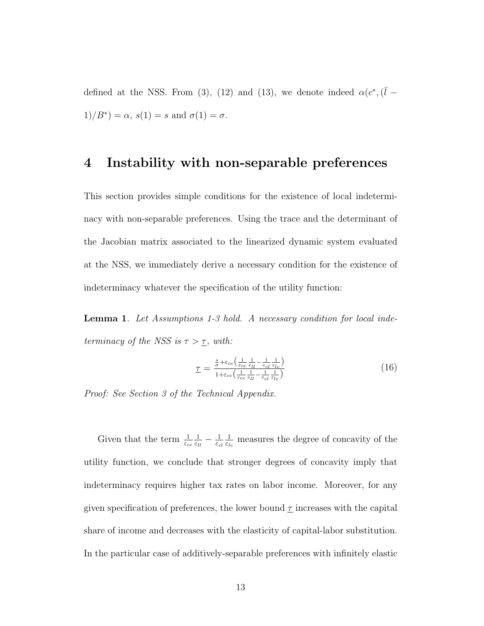defined at the NSS. From (3), (12) and (13), we denote indeed  $\alpha(c^*,(\bar{l}-\bar{l}))$  $1)/B^*$  =  $\alpha$ ,  $s(1) = s$  and  $\sigma(1) = \sigma$ .

## 4 Instability with non-separable preferences

This section provides simple conditions for the existence of local indeterminacy with non-separable preferences. Using the trace and the determinant of the Jacobian matrix associated to the linearized dynamic system evaluated at the NSS, we immediately derive a necessary condition for the existence of indeterminacy whatever the specification of the utility function:

Lemma 1. Let Assumptions 1-3 hold. A necessary condition for local indeterminacy of the NSS is  $\tau > \tau$ , with:

$$
\underline{\tau} = \frac{\frac{s}{\sigma} + \varepsilon_{cc} \left( \frac{1}{\varepsilon_{cc}} \frac{1}{\varepsilon_{ll}} - \frac{1}{\varepsilon_{cl}} \frac{1}{\varepsilon_{lc}} \right)}{1 + \varepsilon_{cc} \left( \frac{1}{\varepsilon_{cc}} \frac{1}{\varepsilon_{ll}} - \frac{1}{\varepsilon_{cl}} \frac{1}{\varepsilon_{lc}} \right)}
$$
(16)

Proof: See Section 3 of the Technical Appendix.

Given that the term  $\frac{1}{\varepsilon_{cc}}$ 1  $\frac{1}{\varepsilon_{ll}}-\frac{1}{\varepsilon_{c}}$  $\varepsilon_{cl}$ 1  $\frac{1}{\varepsilon_{lc}}$  measures the degree of concavity of the utility function, we conclude that stronger degrees of concavity imply that indeterminacy requires higher tax rates on labor income. Moreover, for any given specification of preferences, the lower bound  $\tau$  increases with the capital share of income and decreases with the elasticity of capital-labor substitution. In the particular case of additively-separable preferences with infinitely elastic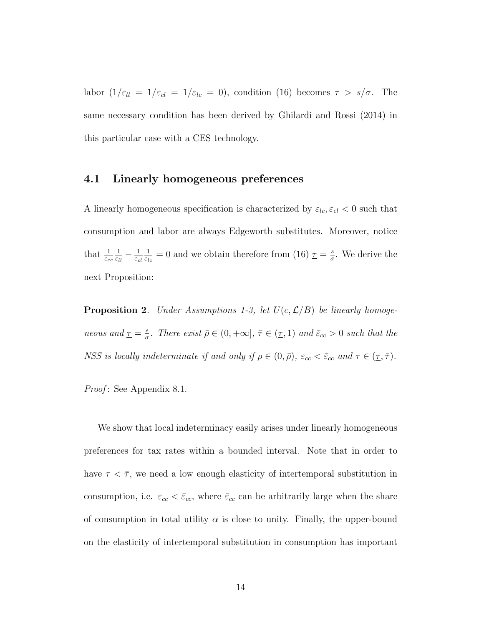labor  $(1/\varepsilon_{ll} = 1/\varepsilon_{cl} = 1/\varepsilon_{lc} = 0)$ , condition (16) becomes  $\tau > s/\sigma$ . The same necessary condition has been derived by Ghilardi and Rossi (2014) in this particular case with a CES technology.

#### 4.1 Linearly homogeneous preferences

A linearly homogeneous specification is characterized by  $\varepsilon_{lc}, \varepsilon_{cl} < 0$  such that consumption and labor are always Edgeworth substitutes. Moreover, notice that  $\frac{1}{\varepsilon_{cc}}$ 1  $\frac{1}{\varepsilon_{ll}}-\frac{1}{\varepsilon_{c}}$  $\varepsilon_{cl}$ 1  $\frac{1}{\varepsilon_{lc}} = 0$  and we obtain therefore from (16)  $\underline{\tau} = \frac{s}{\sigma}$  $\frac{s}{\sigma}$ . We derive the next Proposition:

**Proposition 2.** Under Assumptions 1-3, let  $U(c, \mathcal{L}/B)$  be linearly homogeneous and  $\underline{\tau} = \frac{s}{\sigma}$  $\frac{s}{\sigma}$ . There exist  $\bar{\rho} \in (0, +\infty]$ ,  $\bar{\tau} \in (\underline{\tau}, 1)$  and  $\bar{\varepsilon}_{cc} > 0$  such that the NSS is locally indeterminate if and only if  $\rho \in (0, \bar{\rho})$ ,  $\varepsilon_{cc} < \bar{\varepsilon}_{cc}$  and  $\tau \in (\tau, \bar{\tau})$ .



We show that local indeterminacy easily arises under linearly homogeneous preferences for tax rates within a bounded interval. Note that in order to have  $\tau < \bar{\tau}$ , we need a low enough elasticity of intertemporal substitution in consumption, i.e.  $\varepsilon_{cc} < \bar{\varepsilon}_{cc}$ , where  $\bar{\varepsilon}_{cc}$  can be arbitrarily large when the share of consumption in total utility  $\alpha$  is close to unity. Finally, the upper-bound on the elasticity of intertemporal substitution in consumption has important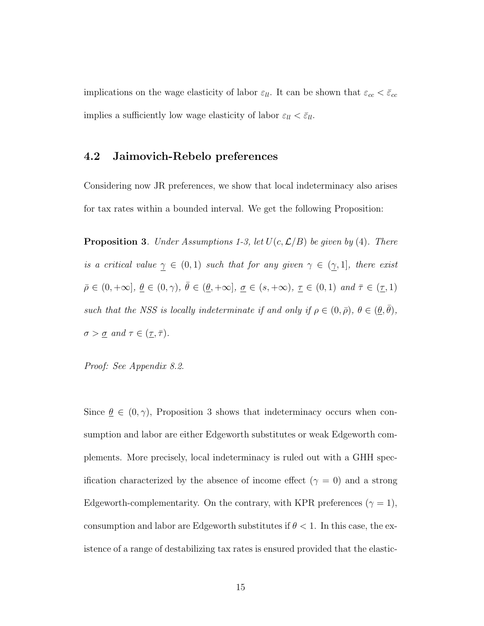implications on the wage elasticity of labor  $\varepsilon_{ll}$ . It can be shown that  $\varepsilon_{cc} < \bar{\varepsilon}_{cc}$ implies a sufficiently low wage elasticity of labor  $\varepsilon_{ll} < \bar{\varepsilon}_{ll}$ .

#### 4.2 Jaimovich-Rebelo preferences

Considering now JR preferences, we show that local indeterminacy also arises for tax rates within a bounded interval. We get the following Proposition:

**Proposition 3.** Under Assumptions 1-3, let  $U(c, \mathcal{L}/B)$  be given by (4). There is a critical value  $\gamma \in (0,1)$  such that for any given  $\gamma \in (\gamma,1]$ , there exist  $\bar{\rho} \in (0, +\infty], \underline{\theta} \in (0, \gamma), \bar{\theta} \in (\underline{\theta}, +\infty], \underline{\sigma} \in (s, +\infty), \underline{\tau} \in (0, 1) \text{ and } \bar{\tau} \in (\underline{\tau}, 1)$ such that the NSS is locally indeterminate if and only if  $\rho \in (0, \bar{\rho}), \theta \in (\underline{\theta}, \bar{\theta}),$  $\sigma > \underline{\sigma}$  and  $\tau \in (\underline{\tau}, \overline{\tau}).$ 

Proof: See Appendix 8.2.

Since  $\theta \in (0, \gamma)$ , Proposition 3 shows that indeterminacy occurs when consumption and labor are either Edgeworth substitutes or weak Edgeworth complements. More precisely, local indeterminacy is ruled out with a GHH specification characterized by the absence of income effect ( $\gamma = 0$ ) and a strong Edgeworth-complementarity. On the contrary, with KPR preferences ( $\gamma = 1$ ), consumption and labor are Edgeworth substitutes if  $\theta < 1$ . In this case, the existence of a range of destabilizing tax rates is ensured provided that the elastic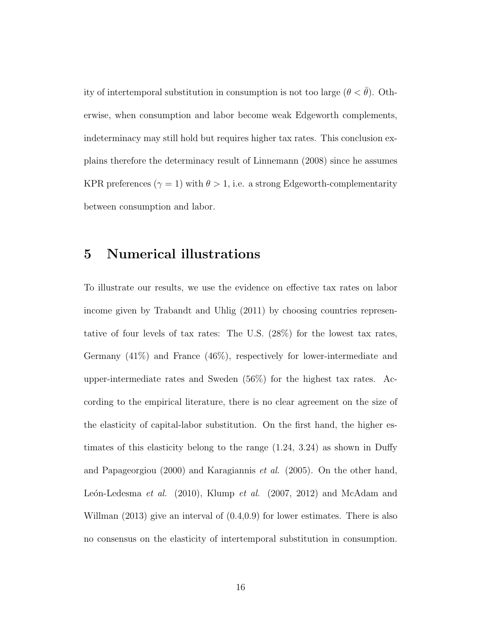ity of intertemporal substitution in consumption is not too large  $(\theta < \overline{\theta})$ . Otherwise, when consumption and labor become weak Edgeworth complements, indeterminacy may still hold but requires higher tax rates. This conclusion explains therefore the determinacy result of Linnemann (2008) since he assumes KPR preferences ( $\gamma = 1$ ) with  $\theta > 1$ , i.e. a strong Edgeworth-complementarity between consumption and labor.

## 5 Numerical illustrations

To illustrate our results, we use the evidence on effective tax rates on labor income given by Trabandt and Uhlig (2011) by choosing countries representative of four levels of tax rates: The U.S. (28%) for the lowest tax rates, Germany (41%) and France (46%), respectively for lower-intermediate and upper-intermediate rates and Sweden (56%) for the highest tax rates. According to the empirical literature, there is no clear agreement on the size of the elasticity of capital-labor substitution. On the first hand, the higher estimates of this elasticity belong to the range (1.24, 3.24) as shown in Duffy and Papageorgiou (2000) and Karagiannis et al. (2005). On the other hand, León-Ledesma et al.  $(2010)$ , Klump et al.  $(2007, 2012)$  and McAdam and Willman  $(2013)$  give an interval of  $(0.4,0.9)$  for lower estimates. There is also no consensus on the elasticity of intertemporal substitution in consumption.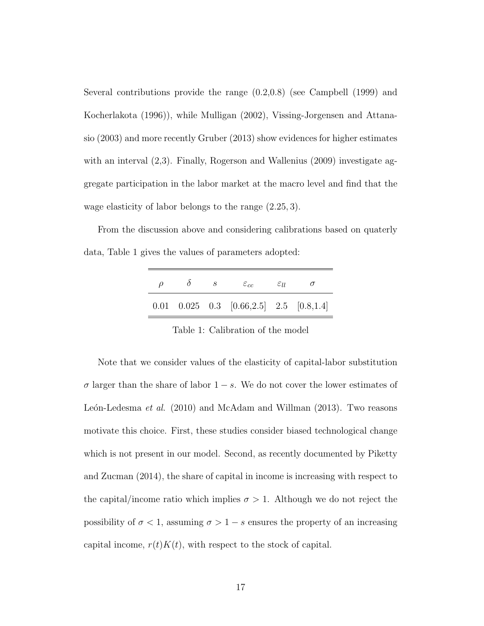Several contributions provide the range (0.2,0.8) (see Campbell (1999) and Kocherlakota (1996)), while Mulligan (2002), Vissing-Jorgensen and Attanasio (2003) and more recently Gruber (2013) show evidences for higher estimates with an interval (2,3). Finally, Rogerson and Wallenius (2009) investigate aggregate participation in the labor market at the macro level and find that the wage elasticity of labor belongs to the range (2.25, 3).

From the discussion above and considering calibrations based on quaterly data, Table 1 gives the values of parameters adopted:

| $\rho$ | S | $\varepsilon_{cc}$                                    | $\epsilon$ 11 |  |
|--------|---|-------------------------------------------------------|---------------|--|
|        |   | $0.01$ $0.025$ $0.3$ $[0.66, 2.5]$ $2.5$ $[0.8, 1.4]$ |               |  |

Table 1: Calibration of the model

Note that we consider values of the elasticity of capital-labor substitution  $\sigma$  larger than the share of labor  $1 - s$ . We do not cover the lower estimates of León-Ledesma et al.  $(2010)$  and McAdam and Willman  $(2013)$ . Two reasons motivate this choice. First, these studies consider biased technological change which is not present in our model. Second, as recently documented by Piketty and Zucman (2014), the share of capital in income is increasing with respect to the capital/income ratio which implies  $\sigma > 1$ . Although we do not reject the possibility of  $\sigma < 1$ , assuming  $\sigma > 1 - s$  ensures the property of an increasing capital income,  $r(t)K(t)$ , with respect to the stock of capital.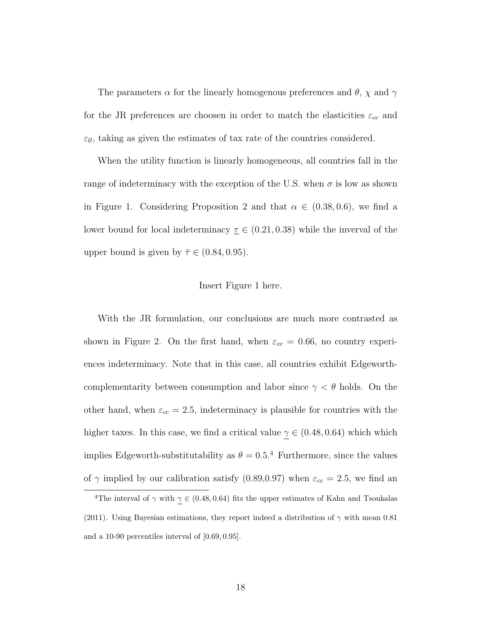The parameters  $\alpha$  for the linearly homogenous preferences and  $\theta,$   $\chi$  and  $\gamma$ for the JR preferences are choosen in order to match the elasticities  $\varepsilon_{cc}$  and  $\varepsilon_{ll}$ , taking as given the estimates of tax rate of the countries considered.

When the utility function is linearly homogeneous, all countries fall in the range of indeterminacy with the exception of the U.S. when  $\sigma$  is low as shown in Figure 1. Considering Proposition 2 and that  $\alpha \in (0.38, 0.6)$ , we find a lower bound for local indeterminacy  $\underline{\tau} \in (0.21, 0.38)$  while the inverval of the upper bound is given by  $\bar{\tau} \in (0.84, 0.95)$ .

#### Insert Figure 1 here.

With the JR formulation, our conclusions are much more contrasted as shown in Figure 2. On the first hand, when  $\varepsilon_{cc} = 0.66$ , no country experiences indeterminacy. Note that in this case, all countries exhibit Edgeworthcomplementarity between consumption and labor since  $\gamma < \theta$  holds. On the other hand, when  $\varepsilon_{cc} = 2.5$ , indeterminacy is plausible for countries with the higher taxes. In this case, we find a critical value  $\gamma \in (0.48, 0.64)$  which which implies Edgeworth-substitutability as  $\theta = 0.5$ .<sup>4</sup> Furthermore, since the values of  $\gamma$  implied by our calibration satisfy (0.89,0.97) when  $\varepsilon_{cc} = 2.5$ , we find an

<sup>&</sup>lt;sup>4</sup>The interval of  $\gamma$  with  $\gamma \in (0.48, 0.64)$  fits the upper estimates of Kahn and Tsoukalas (2011). Using Bayesian estimations, they report indeed a distribution of  $\gamma$  with mean 0.81 and a 10-90 percentiles interval of [0.69, 0.95].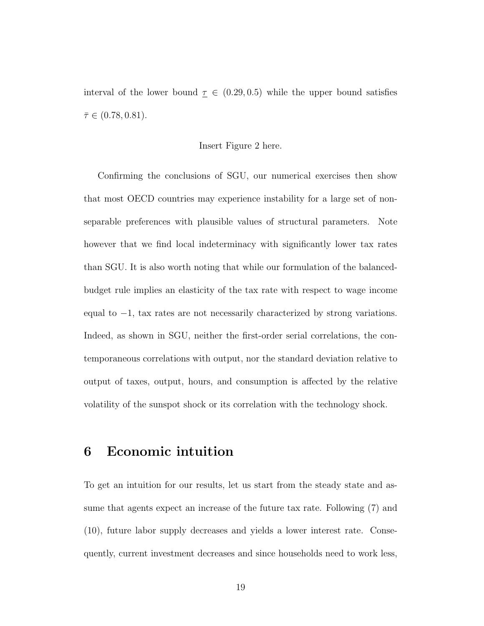interval of the lower bound  $\underline{\tau} \in (0.29, 0.5)$  while the upper bound satisfies  $\bar{\tau} \in (0.78, 0.81).$ 

#### Insert Figure 2 here.

Confirming the conclusions of SGU, our numerical exercises then show that most OECD countries may experience instability for a large set of nonseparable preferences with plausible values of structural parameters. Note however that we find local indeterminacy with significantly lower tax rates than SGU. It is also worth noting that while our formulation of the balancedbudget rule implies an elasticity of the tax rate with respect to wage income equal to −1, tax rates are not necessarily characterized by strong variations. Indeed, as shown in SGU, neither the first-order serial correlations, the contemporaneous correlations with output, nor the standard deviation relative to output of taxes, output, hours, and consumption is affected by the relative volatility of the sunspot shock or its correlation with the technology shock.

## 6 Economic intuition

To get an intuition for our results, let us start from the steady state and assume that agents expect an increase of the future tax rate. Following (7) and (10), future labor supply decreases and yields a lower interest rate. Consequently, current investment decreases and since households need to work less,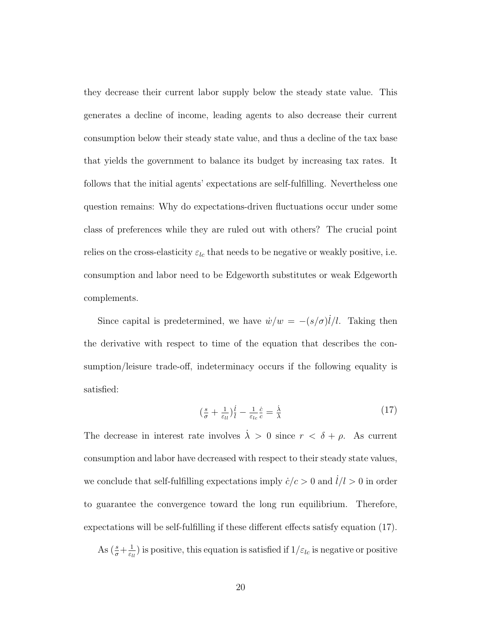they decrease their current labor supply below the steady state value. This generates a decline of income, leading agents to also decrease their current consumption below their steady state value, and thus a decline of the tax base that yields the government to balance its budget by increasing tax rates. It follows that the initial agents' expectations are self-fulfilling. Nevertheless one question remains: Why do expectations-driven fluctuations occur under some class of preferences while they are ruled out with others? The crucial point relies on the cross-elasticity  $\varepsilon_{lc}$  that needs to be negative or weakly positive, i.e. consumption and labor need to be Edgeworth substitutes or weak Edgeworth complements.

Since capital is predetermined, we have  $\dot{w}/w = -(s/\sigma) \dot{l}/l$ . Taking then the derivative with respect to time of the equation that describes the consumption/leisure trade-off, indeterminacy occurs if the following equality is satisfied:

$$
\left(\frac{s}{\sigma} + \frac{1}{\varepsilon_{ll}}\right)\frac{i}{l} - \frac{1}{\varepsilon_{lc}}\frac{\dot{c}}{c} = \frac{\dot{\lambda}}{\lambda} \tag{17}
$$

The decrease in interest rate involves  $\dot{\lambda} > 0$  since  $r < \delta + \rho$ . As current consumption and labor have decreased with respect to their steady state values, we conclude that self-fulfilling expectations imply  $\dot{c}/c > 0$  and  $\dot{l}/l > 0$  in order to guarantee the convergence toward the long run equilibrium. Therefore, expectations will be self-fulfilling if these different effects satisfy equation (17). As  $\left(\frac{s}{\sigma}+\frac{1}{\varepsilon_l}\right)$  $\frac{1}{\varepsilon_{ll}}$ ) is positive, this equation is satisfied if  $1/\varepsilon_{lc}$  is negative or positive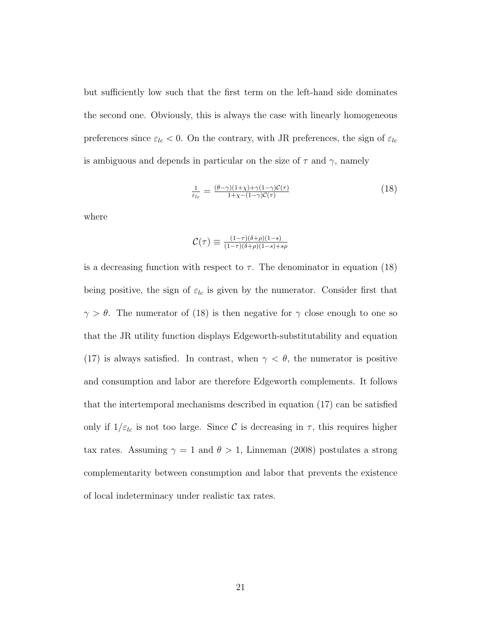but sufficiently low such that the first term on the left-hand side dominates the second one. Obviously, this is always the case with linearly homogeneous preferences since  $\varepsilon_{lc}$  < 0. On the contrary, with JR preferences, the sign of  $\varepsilon_{lc}$ is ambiguous and depends in particular on the size of  $\tau$  and  $\gamma$ , namely

$$
\frac{1}{\varepsilon_{lc}} = \frac{(\theta - \gamma)(1 + \chi) + \gamma(1 - \gamma)\mathcal{C}(\tau)}{1 + \chi - (1 - \gamma)\mathcal{C}(\tau)}\tag{18}
$$

where

$$
\mathcal{C}(\tau) \equiv \tfrac{(1-\tau)(\delta+\rho)(1-s)}{(1-\tau)(\delta+\rho)(1-s)+s\rho}
$$

is a decreasing function with respect to  $\tau$ . The denominator in equation (18) being positive, the sign of  $\varepsilon_{lc}$  is given by the numerator. Consider first that  $\gamma > \theta$ . The numerator of (18) is then negative for  $\gamma$  close enough to one so that the JR utility function displays Edgeworth-substitutability and equation (17) is always satisfied. In contrast, when  $\gamma < \theta$ , the numerator is positive and consumption and labor are therefore Edgeworth complements. It follows that the intertemporal mechanisms described in equation (17) can be satisfied only if  $1/\varepsilon_{lc}$  is not too large. Since C is decreasing in  $\tau$ , this requires higher tax rates. Assuming  $\gamma = 1$  and  $\theta > 1$ , Linneman (2008) postulates a strong complementarity between consumption and labor that prevents the existence of local indeterminacy under realistic tax rates.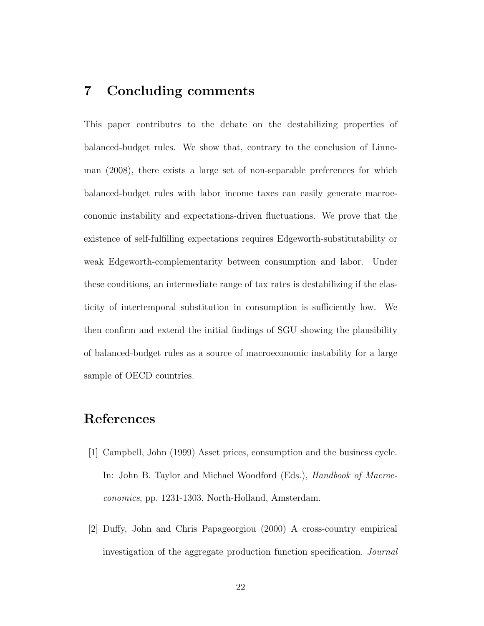## 7 Concluding comments

This paper contributes to the debate on the destabilizing properties of balanced-budget rules. We show that, contrary to the conclusion of Linneman (2008), there exists a large set of non-separable preferences for which balanced-budget rules with labor income taxes can easily generate macroeconomic instability and expectations-driven fluctuations. We prove that the existence of self-fulfilling expectations requires Edgeworth-substitutability or weak Edgeworth-complementarity between consumption and labor. Under these conditions, an intermediate range of tax rates is destabilizing if the elasticity of intertemporal substitution in consumption is sufficiently low. We then confirm and extend the initial findings of SGU showing the plausibility of balanced-budget rules as a source of macroeconomic instability for a large sample of OECD countries.

## References

- [1] Campbell, John (1999) Asset prices, consumption and the business cycle. In: John B. Taylor and Michael Woodford (Eds.), Handbook of Macroeconomics, pp. 1231-1303. North-Holland, Amsterdam.
- [2] Duffy, John and Chris Papageorgiou (2000) A cross-country empirical investigation of the aggregate production function specification. Journal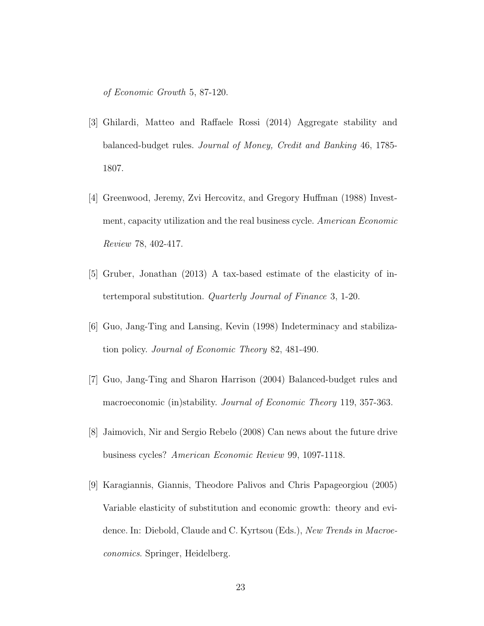of Economic Growth 5, 87-120.

- [3] Ghilardi, Matteo and Raffaele Rossi (2014) Aggregate stability and balanced-budget rules. Journal of Money, Credit and Banking 46, 1785- 1807.
- [4] Greenwood, Jeremy, Zvi Hercovitz, and Gregory Huffman (1988) Investment, capacity utilization and the real business cycle. American Economic Review 78, 402-417.
- [5] Gruber, Jonathan (2013) A tax-based estimate of the elasticity of intertemporal substitution. Quarterly Journal of Finance 3, 1-20.
- [6] Guo, Jang-Ting and Lansing, Kevin (1998) Indeterminacy and stabilization policy. Journal of Economic Theory 82, 481-490.
- [7] Guo, Jang-Ting and Sharon Harrison (2004) Balanced-budget rules and macroeconomic (in)stability. *Journal of Economic Theory* 119, 357-363.
- [8] Jaimovich, Nir and Sergio Rebelo (2008) Can news about the future drive business cycles? American Economic Review 99, 1097-1118.
- [9] Karagiannis, Giannis, Theodore Palivos and Chris Papageorgiou (2005) Variable elasticity of substitution and economic growth: theory and evidence. In: Diebold, Claude and C. Kyrtsou (Eds.), New Trends in Macroeconomics. Springer, Heidelberg.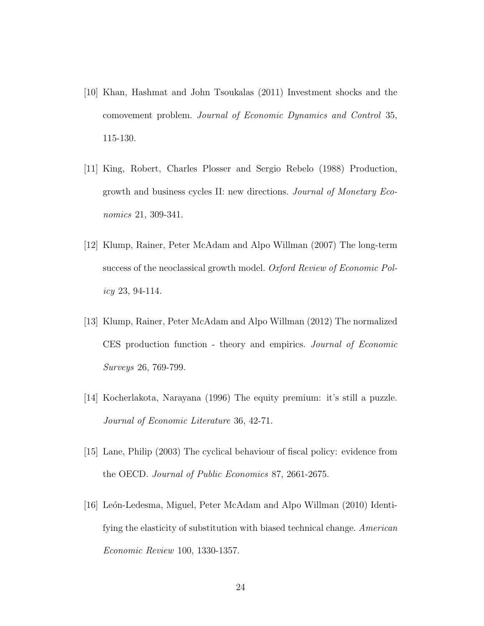- [10] Khan, Hashmat and John Tsoukalas (2011) Investment shocks and the comovement problem. Journal of Economic Dynamics and Control 35, 115-130.
- [11] King, Robert, Charles Plosser and Sergio Rebelo (1988) Production, growth and business cycles II: new directions. Journal of Monetary Economics 21, 309-341.
- [12] Klump, Rainer, Peter McAdam and Alpo Willman (2007) The long-term success of the neoclassical growth model. Oxford Review of Economic Policy 23, 94-114.
- [13] Klump, Rainer, Peter McAdam and Alpo Willman (2012) The normalized CES production function - theory and empirics. Journal of Economic Surveys 26, 769-799.
- [14] Kocherlakota, Narayana (1996) The equity premium: it's still a puzzle. Journal of Economic Literature 36, 42-71.
- [15] Lane, Philip (2003) The cyclical behaviour of fiscal policy: evidence from the OECD. Journal of Public Economics 87, 2661-2675.
- [16] Le´on-Ledesma, Miguel, Peter McAdam and Alpo Willman (2010) Identifying the elasticity of substitution with biased technical change. American Economic Review 100, 1330-1357.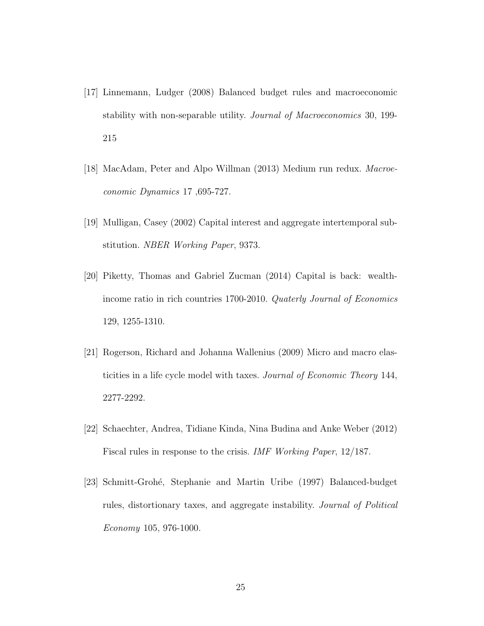- [17] Linnemann, Ludger (2008) Balanced budget rules and macroeconomic stability with non-separable utility. Journal of Macroeconomics 30, 199- 215
- [18] MacAdam, Peter and Alpo Willman (2013) Medium run redux. Macroeconomic Dynamics 17 ,695-727.
- [19] Mulligan, Casey (2002) Capital interest and aggregate intertemporal substitution. NBER Working Paper, 9373.
- [20] Piketty, Thomas and Gabriel Zucman (2014) Capital is back: wealthincome ratio in rich countries 1700-2010. Quaterly Journal of Economics 129, 1255-1310.
- [21] Rogerson, Richard and Johanna Wallenius (2009) Micro and macro elasticities in a life cycle model with taxes. Journal of Economic Theory 144, 2277-2292.
- [22] Schaechter, Andrea, Tidiane Kinda, Nina Budina and Anke Weber (2012) Fiscal rules in response to the crisis. IMF Working Paper, 12/187.
- [23] Schmitt-Grohé, Stephanie and Martin Uribe (1997) Balanced-budget rules, distortionary taxes, and aggregate instability. Journal of Political Economy 105, 976-1000.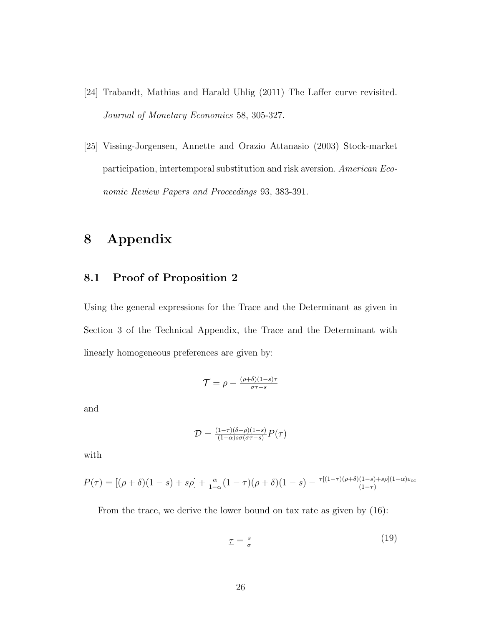- [24] Trabandt, Mathias and Harald Uhlig (2011) The Laffer curve revisited. Journal of Monetary Economics 58, 305-327.
- [25] Vissing-Jorgensen, Annette and Orazio Attanasio (2003) Stock-market participation, intertemporal substitution and risk aversion. American Economic Review Papers and Proceedings 93, 383-391.

## 8 Appendix

#### 8.1 Proof of Proposition 2

Using the general expressions for the Trace and the Determinant as given in Section 3 of the Technical Appendix, the Trace and the Determinant with linearly homogeneous preferences are given by:

$$
\mathcal{T} = \rho - \frac{(\rho + \delta)(1 - s)\tau}{\sigma \tau - s}
$$

and

$$
\mathcal{D} = \tfrac{(1-\tau)(\delta+\rho)(1-s)}{(1-\alpha)s\sigma(\sigma\tau-s)}P(\tau)
$$

with

$$
P(\tau) = [(\rho + \delta)(1 - s) + s\rho] + \frac{\alpha}{1 - \alpha}(1 - \tau)(\rho + \delta)(1 - s) - \frac{\tau[(1 - \tau)(\rho + \delta)(1 - s) + s\rho](1 - \alpha)\varepsilon_{cc}}{(1 - \tau)}
$$

From the trace, we derive the lower bound on tax rate as given by (16):

$$
\underline{\tau} = \frac{s}{\sigma} \tag{19}
$$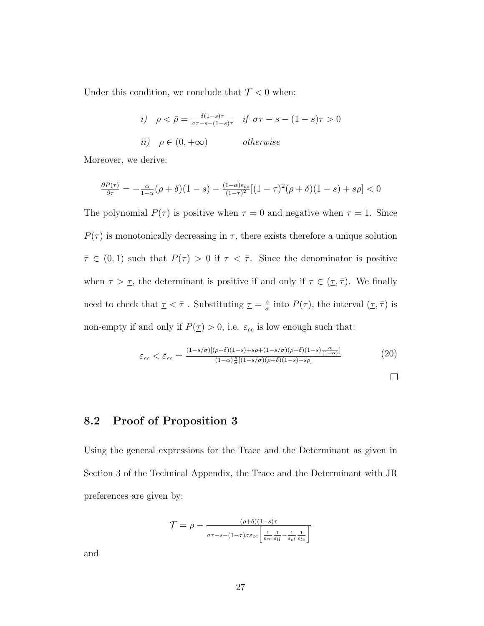Under this condition, we conclude that  $\mathcal{T} < 0$  when:

*i)* 
$$
\rho < \bar{\rho} = \frac{\delta(1-s)\tau}{\sigma\tau - s - (1-s)\tau}
$$
 *if*  $\sigma\tau - s - (1-s)\tau > 0$   
*ii)*  $\rho \in (0, +\infty)$  *otherwise*

Moreover, we derive:

$$
\frac{\partial P(\tau)}{\partial \tau} = -\frac{\alpha}{1-\alpha} (\rho + \delta)(1-s) - \frac{(1-\alpha)\varepsilon_{cc}}{(1-\tau)^2} [(1-\tau)^2(\rho + \delta)(1-s) + s\rho] < 0
$$

The polynomial  $P(\tau)$  is positive when  $\tau = 0$  and negative when  $\tau = 1$ . Since  $P(\tau)$  is monotonically decreasing in  $\tau$ , there exists therefore a unique solution  $\overline{\tau} \in (0,1)$  such that  $P(\tau) > 0$  if  $\tau < \overline{\tau}$ . Since the denominator is positive when  $\tau > \tau$ , the determinant is positive if and only if  $\tau \in (\tau, \overline{\tau})$ . We finally need to check that  $\tau < \bar{\tau}$ . Substituting  $\tau = \frac{s}{\sigma}$  $\frac{s}{\sigma}$  into  $P(\tau)$ , the interval  $(\underline{\tau}, \overline{\tau})$  is non-empty if and only if  $P(\underline{\tau}) > 0,$  i.e.  $\varepsilon_{cc}$  is low enough such that:

$$
\varepsilon_{cc} < \bar{\varepsilon}_{cc} = \frac{(1 - s/\sigma)[(\rho + \delta)(1 - s) + s\rho + (1 - s/\sigma)(\rho + \delta)(1 - s)\frac{\alpha}{(1 - \alpha)}]}{(1 - \alpha)\frac{s}{\sigma}[(1 - s/\sigma)(\rho + \delta)(1 - s) + s\rho]} \tag{20}
$$

$$
\qquad \qquad \Box
$$

#### 8.2 Proof of Proposition 3

Using the general expressions for the Trace and the Determinant as given in Section 3 of the Technical Appendix, the Trace and the Determinant with JR preferences are given by:

$$
\mathcal{T} = \rho - \frac{(\rho + \delta)(1 - s)\tau}{\sigma \tau - s - (1 - \tau)\sigma \varepsilon_{cc} \left[ \frac{1}{\varepsilon_{cc}} \frac{1}{\varepsilon_{ll}} - \frac{1}{\varepsilon_{cl}} \frac{1}{\varepsilon_{lc}} \right]}
$$

and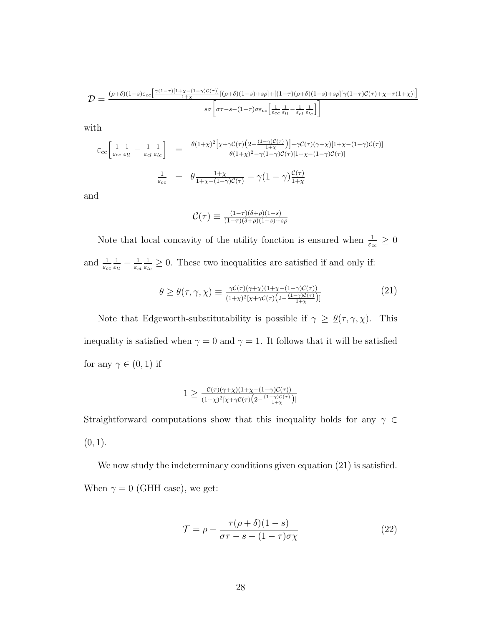$$
\mathcal{D} = \frac{(\rho+\delta)(1-s)\varepsilon_{cc} \left[ \frac{\gamma(1-\tau)[1+\chi-(1-\gamma)\mathcal{C}(\tau)]}{1+\chi} [(\rho+\delta)(1-s)+s\rho] + [(\mathbf{1}-\tau)(\rho+\delta)(1-s)+s\rho][\gamma(1-\tau)\mathcal{C}(\tau)+\chi-\tau(1+\chi)] \right]}{s\sigma \left[ \sigma\tau-s-(1-\tau)\sigma\varepsilon_{cc} \left[ \frac{1}{\varepsilon_{cc}}\frac{1}{\varepsilon_{ll}} - \frac{1}{\varepsilon_{cl}}\frac{1}{\varepsilon_{lc}} \right] \right]}
$$

with

$$
\varepsilon_{cc} \left[ \frac{1}{\varepsilon_{cc}} \frac{1}{\varepsilon_{ll}} - \frac{1}{\varepsilon_{cl}} \frac{1}{\varepsilon_{lc}} \right] = \frac{\theta(1+\chi)^2 \left[ \chi + \gamma \mathcal{C}(\tau) \left( 2 - \frac{(1-\gamma)\mathcal{C}(\tau)}{1+\chi} \right) \right] - \gamma \mathcal{C}(\tau) (\gamma + \chi) [1 + \chi - (1-\gamma)\mathcal{C}(\tau)]}{\theta(1+\chi)^2 - \gamma (1-\gamma)\mathcal{C}(\tau) [1 + \chi - (1-\gamma)\mathcal{C}(\tau)]}
$$

$$
\frac{1}{\varepsilon_{cc}} = \theta \frac{1+\chi}{1+\chi - (1-\gamma)\mathcal{C}(\tau)} - \gamma (1-\gamma) \frac{\mathcal{C}(\tau)}{1+\chi}
$$

and

$$
\mathcal{C}(\tau) \equiv \frac{(1-\tau)(\delta+\rho)(1-s)}{(1-\tau)(\delta+\rho)(1-s)+s\rho}
$$

Note that local concavity of the utility fonction is ensured when  $\frac{1}{\varepsilon_{cc}} \geq 0$ and  $\frac{1}{\varepsilon_{cc}}$ 1  $\frac{1}{\varepsilon_{ll}}-\frac{1}{\varepsilon_{c}}$  $\varepsilon_{cl}$ 1  $\frac{1}{\varepsilon_{lc}} \geq 0$ . These two inequalities are satisfied if and only if:

$$
\theta \ge \underline{\theta}(\tau, \gamma, \chi) \equiv \frac{\gamma \mathcal{C}(\tau)(\gamma + \chi)(1 + \chi - (1 - \gamma)\mathcal{C}(\tau))}{(1 + \chi)^2 [\chi + \gamma \mathcal{C}(\tau)] (2 - \frac{(1 - \gamma)\mathcal{C}(\tau)}{1 + \chi})]}
$$
(21)

Note that Edgeworth-substitutability is possible if  $\gamma \ge \theta(\tau, \gamma, \chi)$ . This inequality is satisfied when  $\gamma=0$  and  $\gamma=1.$  It follows that it will be satisfied for any  $\gamma \in (0,1)$  if

$$
1 \geq \frac{\mathcal{C}(\tau)(\gamma + \chi)(1 + \chi - (1 - \gamma)\mathcal{C}(\tau))}{(1 + \chi)^2[\chi + \gamma\mathcal{C}(\tau)(2 - \frac{(1 - \gamma)\mathcal{C}(\tau)}{1 + \chi})]}
$$

Straightforward computations show that this inequality holds for any  $\gamma \in$  $(0, 1).$ 

We now study the indeterminacy conditions given equation  $(21)$  is satisfied. When  $\gamma = 0$  (GHH case), we get:

$$
\mathcal{T} = \rho - \frac{\tau(\rho + \delta)(1 - s)}{\sigma \tau - s - (1 - \tau)\sigma \chi} \tag{22}
$$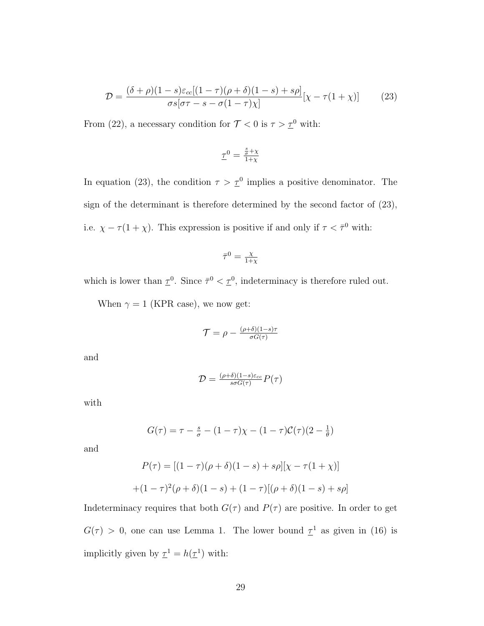$$
\mathcal{D} = \frac{(\delta + \rho)(1 - s)\varepsilon_{cc}[(1 - \tau)(\rho + \delta)(1 - s) + s\rho]}{\sigma s[\sigma\tau - s - \sigma(1 - \tau)\chi]}[\chi - \tau(1 + \chi)] \tag{23}
$$

From (22), a necessary condition for  $\mathcal{T} < 0$  is  $\tau > \underline{\tau}^0$  with:

$$
\underline{\tau}^0 = \frac{\frac{s}{\sigma} + \chi}{1 + \chi}
$$

In equation (23), the condition  $\tau > \tau^0$  implies a positive denominator. The sign of the determinant is therefore determined by the second factor of (23), i.e.  $\chi - \tau(1 + \chi)$ . This expression is positive if and only if  $\tau < \bar{\tau}^0$  with:

$$
\bar{\tau}^0 = \tfrac{\chi}{1+\chi}
$$

which is lower than  $\underline{\tau}^0$ . Since  $\bar{\tau}^0 < \underline{\tau}^0$ , indeterminacy is therefore ruled out.

When  $\gamma=1$  (KPR case), we now get:

$$
\mathcal{T} = \rho - \tfrac{(\rho + \delta)(1 - s)\tau}{\sigma G(\tau)}
$$

and

$$
\mathcal{D} = \frac{(\rho + \delta)(1 - s)\varepsilon_{cc}}{s\sigma G(\tau)}P(\tau)
$$

with

$$
G(\tau) = \tau - \frac{s}{\sigma} - (1 - \tau)\chi - (1 - \tau)\mathcal{C}(\tau)(2 - \frac{1}{\theta})
$$

and

$$
P(\tau) = [(1 - \tau)(\rho + \delta)(1 - s) + s\rho][\chi - \tau(1 + \chi)]
$$

$$
+ (1 - \tau)^{2}(\rho + \delta)(1 - s) + (1 - \tau)[(\rho + \delta)(1 - s) + s\rho]
$$

Indeterminacy requires that both  $G(\tau)$  and  $P(\tau)$  are positive. In order to get  $G(\tau) > 0$ , one can use Lemma 1. The lower bound  $\tau^1$  as given in (16) is implicitly given by  $\underline{\tau}^1 = h(\underline{\tau}^1)$  with: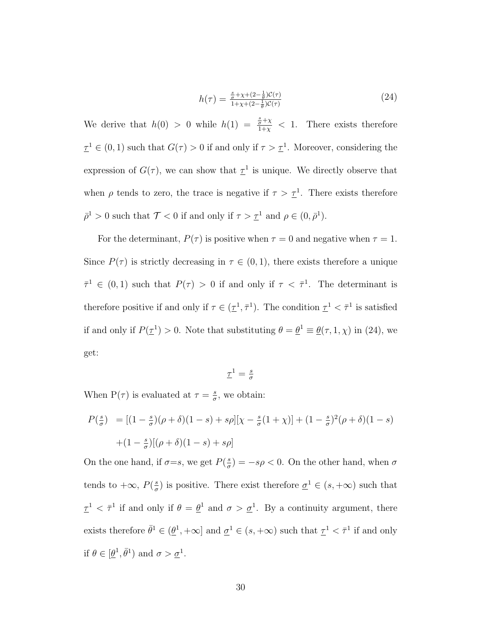$$
h(\tau) = \frac{\frac{s}{\sigma} + \chi + (2 - \frac{1}{\theta})\mathcal{C}(\tau)}{1 + \chi + (2 - \frac{1}{\theta})\mathcal{C}(\tau)}\tag{24}
$$

We derive that  $h(0) > 0$  while  $h(1) = \frac{\frac{s}{g} + \chi}{1 + \chi}$  $\frac{\overline{\sigma} + \chi}{1 + \chi}$  < 1. There exists therefore  $\underline{\tau}^1 \in (0,1)$  such that  $G(\tau) > 0$  if and only if  $\tau > \underline{\tau}^1$ . Moreover, considering the expression of  $G(\tau)$ , we can show that  $\tau^1$  is unique. We directly observe that when  $\rho$  tends to zero, the trace is negative if  $\tau > \tau^1$ . There exists therefore  $\bar{\rho}^1 > 0$  such that  $\mathcal{T} < 0$  if and only if  $\tau > \tau^1$  and  $\rho \in (0, \bar{\rho}^1)$ .

For the determinant,  $P(\tau)$  is positive when  $\tau = 0$  and negative when  $\tau = 1$ . Since  $P(\tau)$  is strictly decreasing in  $\tau \in (0,1)$ , there exists therefore a unique  $\bar{\tau}^1 \in (0,1)$  such that  $P(\tau) > 0$  if and only if  $\tau < \bar{\tau}^1$ . The determinant is therefore positive if and only if  $\tau \in (\tau^1, \bar{\tau}^1)$ . The condition  $\tau^1 < \bar{\tau}^1$  is satisfied if and only if  $P(\tau^1) > 0$ . Note that substituting  $\theta = \underline{\theta}^1 \equiv \underline{\theta}(\tau, 1, \chi)$  in (24), we get:

$$
\underline{\tau}^1 = \frac{s}{\sigma}
$$

When P( $\tau$ ) is evaluated at  $\tau = \frac{s}{\sigma}$  $\frac{s}{\sigma}$ , we obtain:

$$
P(\frac{s}{\sigma}) = [(1 - \frac{s}{\sigma})(\rho + \delta)(1 - s) + s\rho][\chi - \frac{s}{\sigma}(1 + \chi)] + (1 - \frac{s}{\sigma})^2(\rho + \delta)(1 - s) + (1 - \frac{s}{\sigma})[(\rho + \delta)(1 - s) + s\rho]
$$

On the one hand, if  $\sigma = s$ , we get  $P(\frac{s}{\sigma})$  $\frac{s}{\sigma}$ ) =  $-s\rho$  < 0. On the other hand, when  $\sigma$ tends to  $+\infty$ ,  $P(\frac{s}{\sigma})$  $\frac{s}{\sigma}$ ) is positive. There exist therefore  $\underline{\sigma}^1 \in (s, +\infty)$  such that  $\tau^1 < \bar{\tau}^1$  if and only if  $\theta = \underline{\theta}^1$  and  $\sigma > \underline{\sigma}^1$ . By a continuity argument, there exists therefore  $\bar{\theta}^1 \in (\underline{\theta}^1, +\infty]$  and  $\underline{\sigma}^1 \in (s, +\infty)$  such that  $\underline{\tau}^1 < \bar{\tau}^1$  if and only if  $\theta \in [\underline{\theta}^1, \overline{\theta}^1]$  and  $\sigma > \underline{\sigma}^1$ .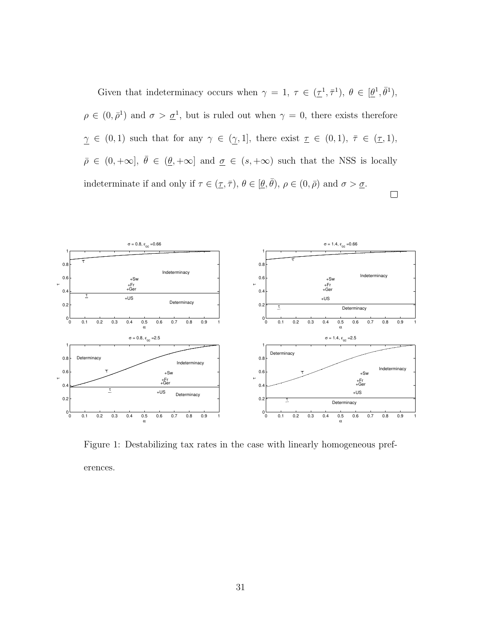Given that indeterminacy occurs when  $\gamma = 1, \tau \in (\underline{\tau}^1, \overline{\tau}^1), \theta \in [\underline{\theta}^1, \overline{\theta}^1),$  $\rho \in (0, \bar{\rho}^1)$  and  $\sigma > \underline{\sigma}^1$ , but is ruled out when  $\gamma = 0$ , there exists therefore  $\gamma \in (0,1)$  such that for any  $\gamma \in (\underline{\gamma},1]$ , there exist  $\underline{\tau} \in (0,1)$ ,  $\overline{\tau} \in (\underline{\tau},1)$ ,  $\bar{\rho} \in (0, +\infty], \ \bar{\theta} \in (\underline{\theta}, +\infty]$  and  $\underline{\sigma} \in (s, +\infty)$  such that the NSS is locally indeterminate if and only if  $\tau \in (\underline{\tau}, \overline{\tau})$ ,  $\theta \in [\underline{\theta}, \overline{\theta})$ ,  $\rho \in (0, \overline{\rho})$  and  $\sigma > \underline{\sigma}$ .  $\Box$ 



Figure 1: Destabilizing tax rates in the case with linearly homogeneous preferences.